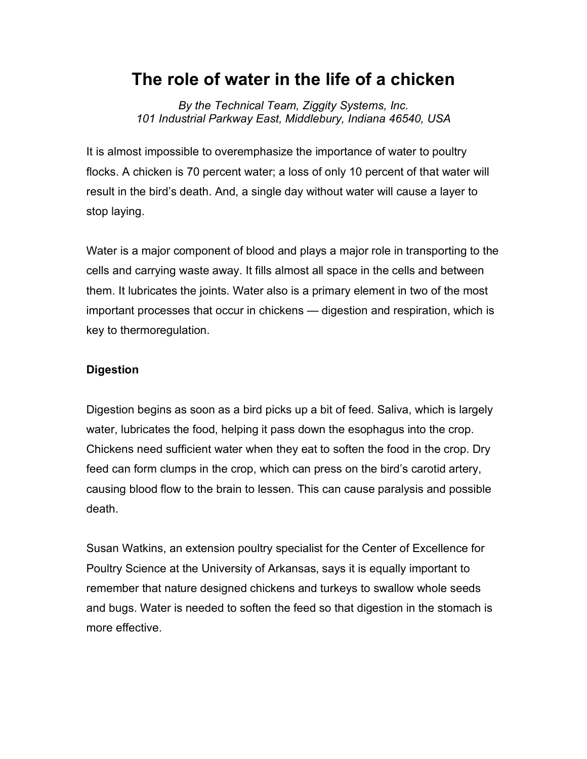## **The role of water in the life of a chicken**

*By the Technical Team, Ziggity Systems, Inc. 101 Industrial Parkway East, Middlebury, Indiana 46540, USA*

It is almost impossible to overemphasize the importance of water to poultry flocks. A chicken is 70 percent water; a loss of only 10 percent of that water will result in the bird's death. And, a single day without water will cause a layer to stop laying.

Water is a major component of blood and plays a major role in transporting to the cells and carrying waste away. It fills almost all space in the cells and between them. It lubricates the joints. Water also is a primary element in two of the most important processes that occur in chickens — digestion and respiration, which is key to thermoregulation.

## **Digestion**

Digestion begins as soon as a bird picks up a bit of feed. Saliva, which is largely water, lubricates the food, helping it pass down the esophagus into the crop. Chickens need sufficient water when they eat to soften the food in the crop. Dry feed can form clumps in the crop, which can press on the bird's carotid artery, causing blood flow to the brain to lessen. This can cause paralysis and possible death.

Susan Watkins, an extension poultry specialist for the Center of Excellence for Poultry Science at the University of Arkansas, says it is equally important to remember that nature designed chickens and turkeys to swallow whole seeds and bugs. Water is needed to soften the feed so that digestion in the stomach is more effective.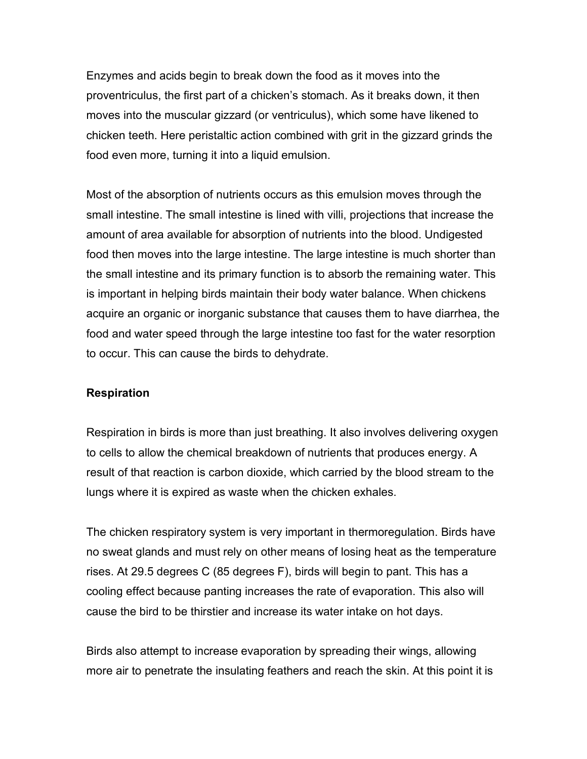Enzymes and acids begin to break down the food as it moves into the proventriculus, the first part of a chicken's stomach. As it breaks down, it then moves into the muscular gizzard (or ventriculus), which some have likened to chicken teeth. Here peristaltic action combined with grit in the gizzard grinds the food even more, turning it into a liquid emulsion.

Most of the absorption of nutrients occurs as this emulsion moves through the small intestine. The small intestine is lined with villi, projections that increase the amount of area available for absorption of nutrients into the blood. Undigested food then moves into the large intestine. The large intestine is much shorter than the small intestine and its primary function is to absorb the remaining water. This is important in helping birds maintain their body water balance. When chickens acquire an organic or inorganic substance that causes them to have diarrhea, the food and water speed through the large intestine too fast for the water resorption to occur. This can cause the birds to dehydrate.

## **Respiration**

Respiration in birds is more than just breathing. It also involves delivering oxygen to cells to allow the chemical breakdown of nutrients that produces energy. A result of that reaction is carbon dioxide, which carried by the blood stream to the lungs where it is expired as waste when the chicken exhales.

The chicken respiratory system is very important in thermoregulation. Birds have no sweat glands and must rely on other means of losing heat as the temperature rises. At 29.5 degrees C (85 degrees F), birds will begin to pant. This has a cooling effect because panting increases the rate of evaporation. This also will cause the bird to be thirstier and increase its water intake on hot days.

Birds also attempt to increase evaporation by spreading their wings, allowing more air to penetrate the insulating feathers and reach the skin. At this point it is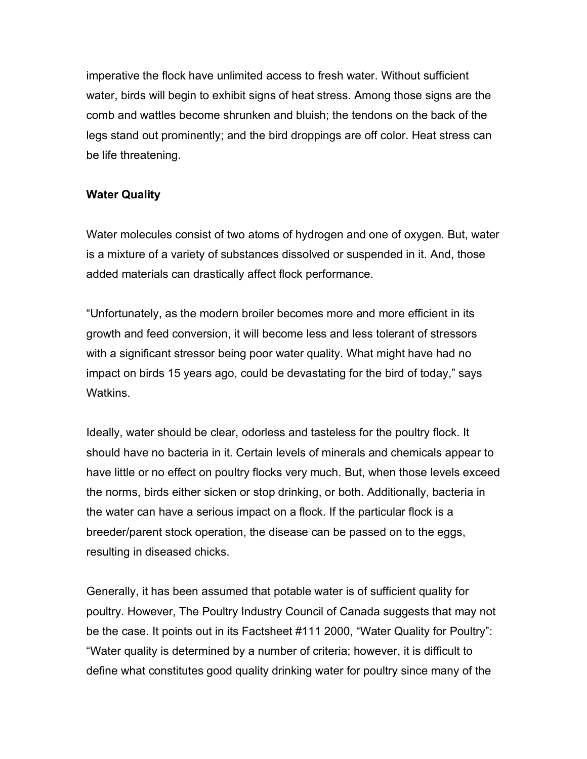imperative the flock have unlimited access to fresh water. Without sufficient water, birds will begin to exhibit signs of heat stress. Among those signs are the comb and wattles become shrunken and bluish; the tendons on the back of the legs stand out prominently; and the bird droppings are off color. Heat stress can be life threatening.

## **Water Quality**

Water molecules consist of two atoms of hydrogen and one of oxygen. But, water is a mixture of a variety of substances dissolved or suspended in it. And, those added materials can drastically affect flock performance.

"Unfortunately, as the modern broiler becomes more and more efficient in its growth and feed conversion, it will become less and less tolerant of stressors with a significant stressor being poor water quality. What might have had no impact on birds 15 years ago, could be devastating for the bird of today," says **Watkins** 

Ideally, water should be clear, odorless and tasteless for the poultry flock. It should have no bacteria in it. Certain levels of minerals and chemicals appear to have little or no effect on poultry flocks very much. But, when those levels exceed the norms, birds either sicken or stop drinking, or both. Additionally, bacteria in the water can have a serious impact on a flock. If the particular flock is a breeder/parent stock operation, the disease can be passed on to the eggs, resulting in diseased chicks.

Generally, it has been assumed that potable water is of sufficient quality for poultry. However, The Poultry Industry Council of Canada suggests that may not be the case. It points out in its Factsheet #111 2000, "Water Quality for Poultry": "Water quality is determined by a number of criteria; however, it is difficult to define what constitutes good quality drinking water for poultry since many of the